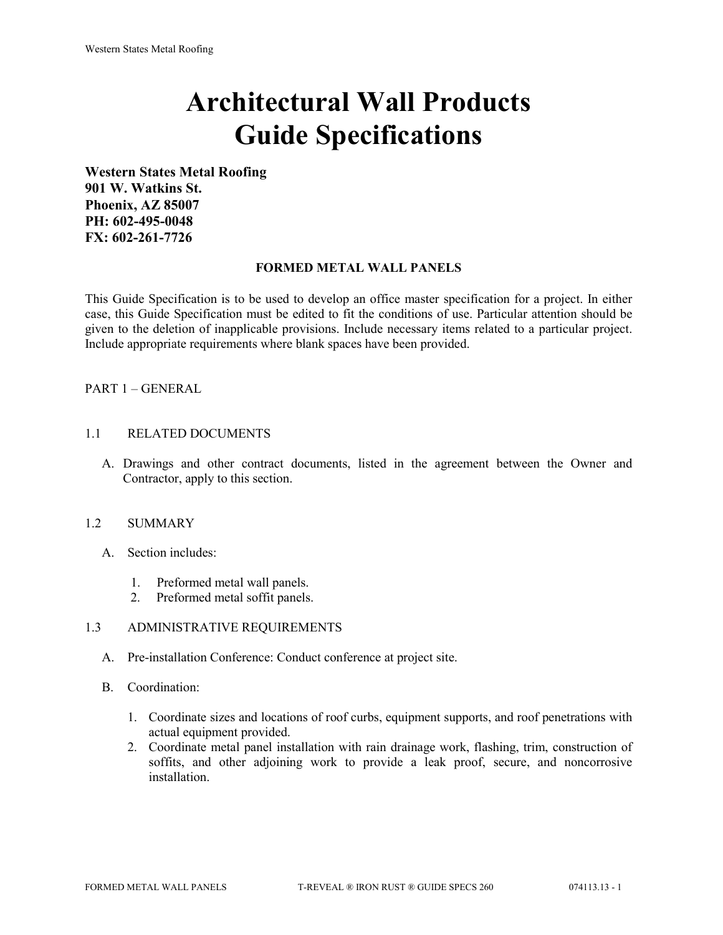# **Architectural Wall Products Guide Specifications**

**Western States Metal Roofing 901 W. Watkins St. Phoenix, AZ 85007 PH: 602-495-0048 FX: 602-261-7726**

## **FORMED METAL WALL PANELS**

This Guide Specification is to be used to develop an office master specification for a project. In either case, this Guide Specification must be edited to fit the conditions of use. Particular attention should be given to the deletion of inapplicable provisions. Include necessary items related to a particular project. Include appropriate requirements where blank spaces have been provided.

## PART 1 – GENERAL

#### 1.1 RELATED DOCUMENTS

A. Drawings and other contract documents, listed in the agreement between the Owner and Contractor, apply to this section.

#### 1.2 SUMMARY

- A. Section includes:
	- 1. Preformed metal wall panels.
	- 2. Preformed metal soffit panels.

#### 1.3 ADMINISTRATIVE REQUIREMENTS

- A. Pre-installation Conference: Conduct conference at project site.
- B. Coordination:
	- 1. Coordinate sizes and locations of roof curbs, equipment supports, and roof penetrations with actual equipment provided.
	- 2. Coordinate metal panel installation with rain drainage work, flashing, trim, construction of soffits, and other adjoining work to provide a leak proof, secure, and noncorrosive installation.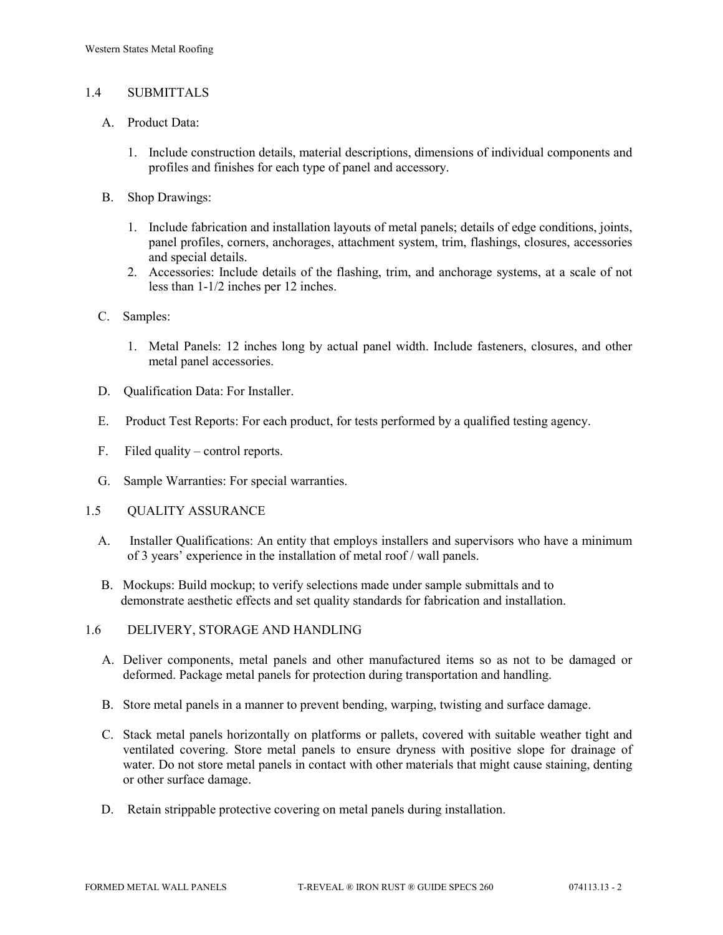## 1.4 SUBMITTALS

- A. Product Data:
	- 1. Include construction details, material descriptions, dimensions of individual components and profiles and finishes for each type of panel and accessory.
- B. Shop Drawings:
	- 1. Include fabrication and installation layouts of metal panels; details of edge conditions, joints, panel profiles, corners, anchorages, attachment system, trim, flashings, closures, accessories and special details.
	- 2. Accessories: Include details of the flashing, trim, and anchorage systems, at a scale of not less than 1-1/2 inches per 12 inches.
- C. Samples:
	- 1. Metal Panels: 12 inches long by actual panel width. Include fasteners, closures, and other metal panel accessories.
- D. Qualification Data: For Installer.
- E. Product Test Reports: For each product, for tests performed by a qualified testing agency.
- F. Filed quality control reports.
- G. Sample Warranties: For special warranties.
- 1.5 QUALITY ASSURANCE
	- A. Installer Qualifications: An entity that employs installers and supervisors who have a minimum of 3 years' experience in the installation of metal roof / wall panels.
	- B. Mockups: Build mockup; to verify selections made under sample submittals and to demonstrate aesthetic effects and set quality standards for fabrication and installation.
- 1.6 DELIVERY, STORAGE AND HANDLING
	- A. Deliver components, metal panels and other manufactured items so as not to be damaged or deformed. Package metal panels for protection during transportation and handling.
	- B. Store metal panels in a manner to prevent bending, warping, twisting and surface damage.
	- C. Stack metal panels horizontally on platforms or pallets, covered with suitable weather tight and ventilated covering. Store metal panels to ensure dryness with positive slope for drainage of water. Do not store metal panels in contact with other materials that might cause staining, denting or other surface damage.
	- D. Retain strippable protective covering on metal panels during installation.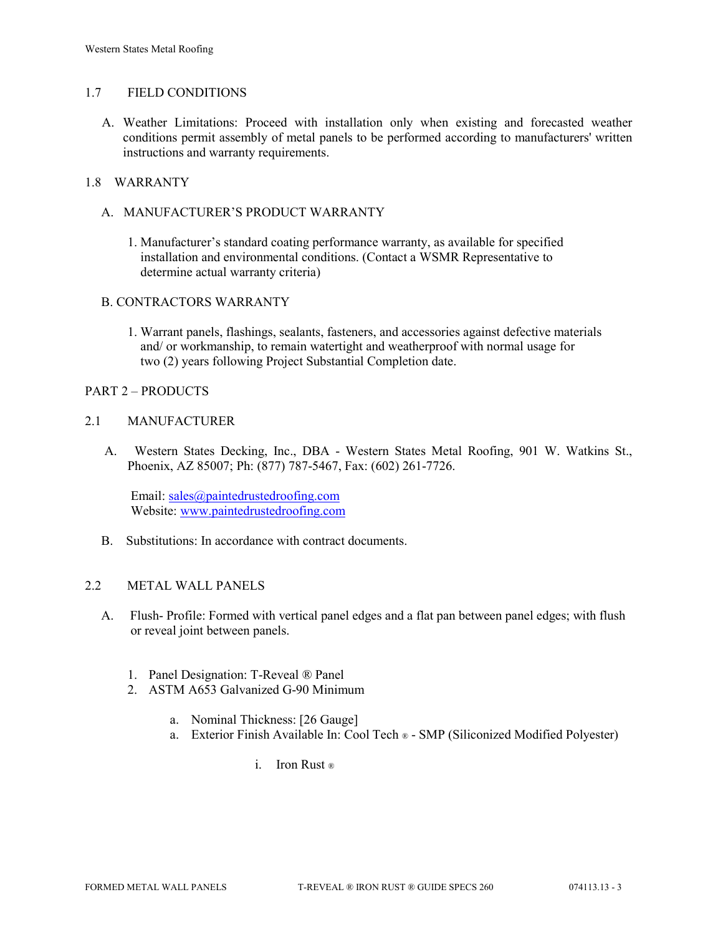## 1.7 FIELD CONDITIONS

A. Weather Limitations: Proceed with installation only when existing and forecasted weather conditions permit assembly of metal panels to be performed according to manufacturers' written instructions and warranty requirements.

## 1.8 WARRANTY

- A. MANUFACTURER'S PRODUCT WARRANTY
	- 1. Manufacturer's standard coating performance warranty, as available for specified installation and environmental conditions. (Contact a WSMR Representative to determine actual warranty criteria)

## B. CONTRACTORS WARRANTY

1. Warrant panels, flashings, sealants, fasteners, and accessories against defective materials and/ or workmanship, to remain watertight and weatherproof with normal usage for two (2) years following Project Substantial Completion date.

## PART 2 – PRODUCTS

## 2.1 MANUFACTURER

 A. Western States Decking, Inc., DBA - Western States Metal Roofing, 901 W. Watkins St., Phoenix, AZ 85007; Ph: (877) 787-5467, Fax: (602) 261-7726.

Email: [sales@paintedrustedroofing.com](mailto:sales@paintedrustedroofing.com) Website: [www.paintedrustedroofing.com](http://www.paintedrustedroofing.com/)

B. Substitutions: In accordance with contract documents.

# 2.2 METAL WALL PANELS

- A. Flush- Profile: Formed with vertical panel edges and a flat pan between panel edges; with flush or reveal joint between panels.
	- 1. Panel Designation: T-Reveal ® Panel
	- 2. ASTM A653 Galvanized G-90 Minimum
		- a. Nominal Thickness: [26 Gauge]
		- a. Exterior Finish Available In: Cool Tech ® SMP (Siliconized Modified Polyester)
			- i. Iron Rust ®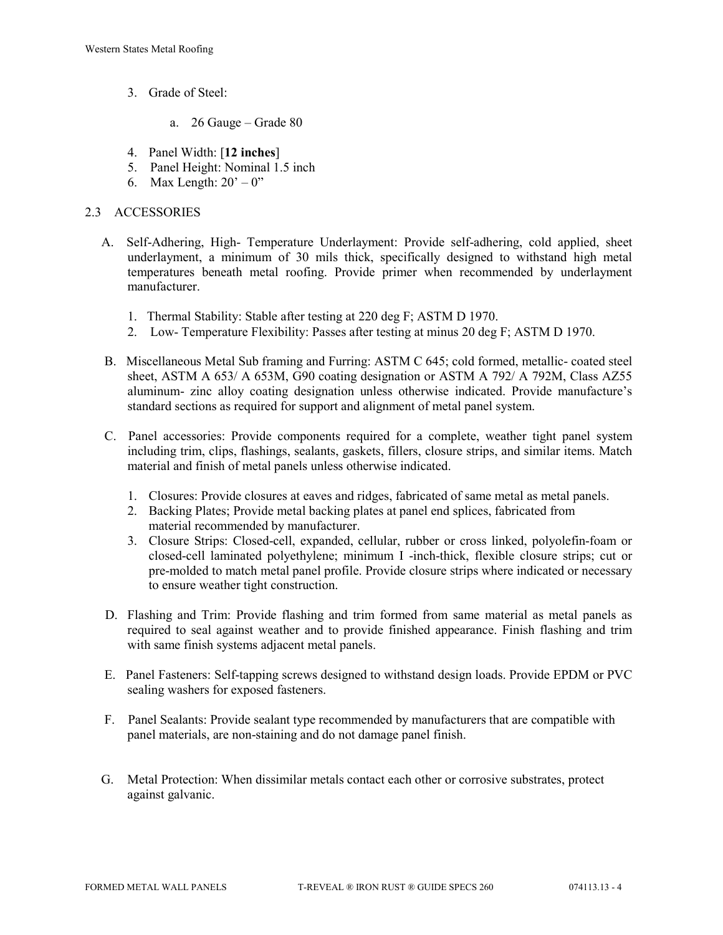- 3. Grade of Steel:
	- a. 26 Gauge Grade 80
- 4. Panel Width: [**12 inches**]
- 5. Panel Height: Nominal 1.5 inch
- 6. Max Length:  $20^\circ 0$ "

# 2.3 ACCESSORIES

- A. Self-Adhering, High- Temperature Underlayment: Provide self-adhering, cold applied, sheet underlayment, a minimum of 30 mils thick, specifically designed to withstand high metal temperatures beneath metal roofing. Provide primer when recommended by underlayment manufacturer.
	- 1. Thermal Stability: Stable after testing at 220 deg F; ASTM D 1970.
	- 2. Low- Temperature Flexibility: Passes after testing at minus 20 deg F; ASTM D 1970.
- B. Miscellaneous Metal Sub framing and Furring: ASTM C 645; cold formed, metallic- coated steel sheet, ASTM A 653/ A 653M, G90 coating designation or ASTM A 792/ A 792M, Class AZ55 aluminum- zinc alloy coating designation unless otherwise indicated. Provide manufacture's standard sections as required for support and alignment of metal panel system.
- C. Panel accessories: Provide components required for a complete, weather tight panel system including trim, clips, flashings, sealants, gaskets, fillers, closure strips, and similar items. Match material and finish of metal panels unless otherwise indicated.
	- 1. Closures: Provide closures at eaves and ridges, fabricated of same metal as metal panels.
	- 2. Backing Plates; Provide metal backing plates at panel end splices, fabricated from material recommended by manufacturer.
	- 3. Closure Strips: Closed-cell, expanded, cellular, rubber or cross linked, polyolefin-foam or closed-cell laminated polyethylene; minimum I -inch-thick, flexible closure strips; cut or pre-molded to match metal panel profile. Provide closure strips where indicated or necessary to ensure weather tight construction.
- D. Flashing and Trim: Provide flashing and trim formed from same material as metal panels as required to seal against weather and to provide finished appearance. Finish flashing and trim with same finish systems adjacent metal panels.
- E. Panel Fasteners: Self-tapping screws designed to withstand design loads. Provide EPDM or PVC sealing washers for exposed fasteners.
- F. Panel Sealants: Provide sealant type recommended by manufacturers that are compatible with panel materials, are non-staining and do not damage panel finish.
- G. Metal Protection: When dissimilar metals contact each other or corrosive substrates, protect against galvanic.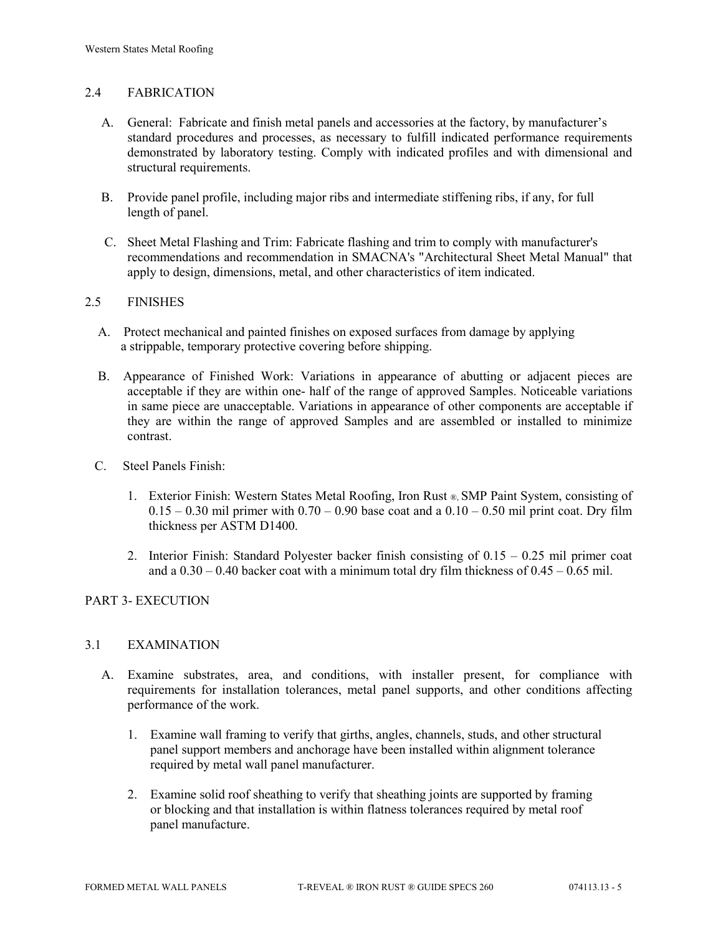# 2.4 FABRICATION

- A. General: Fabricate and finish metal panels and accessories at the factory, by manufacturer's standard procedures and processes, as necessary to fulfill indicated performance requirements demonstrated by laboratory testing. Comply with indicated profiles and with dimensional and structural requirements.
- B. Provide panel profile, including major ribs and intermediate stiffening ribs, if any, for full length of panel.
- C. Sheet Metal Flashing and Trim: Fabricate flashing and trim to comply with manufacturer's recommendations and recommendation in SMACNA's "Architectural Sheet Metal Manual" that apply to design, dimensions, metal, and other characteristics of item indicated.

## 2.5 FINISHES

- A. Protect mechanical and painted finishes on exposed surfaces from damage by applying a strippable, temporary protective covering before shipping.
- B. Appearance of Finished Work: Variations in appearance of abutting or adjacent pieces are acceptable if they are within one- half of the range of approved Samples. Noticeable variations in same piece are unacceptable. Variations in appearance of other components are acceptable if they are within the range of approved Samples and are assembled or installed to minimize contrast.
- C. Steel Panels Finish:
	- 1. Exterior Finish: Western States Metal Roofing, Iron Rust ®, SMP Paint System, consisting of  $0.15 - 0.30$  mil primer with  $0.70 - 0.90$  base coat and a  $0.10 - 0.50$  mil print coat. Dry film thickness per ASTM D1400.
	- 2. Interior Finish: Standard Polyester backer finish consisting of 0.15 0.25 mil primer coat and a  $0.30 - 0.40$  backer coat with a minimum total dry film thickness of  $0.45 - 0.65$  mil.

# PART 3- EXECUTION

#### 3.1 EXAMINATION

- A. Examine substrates, area, and conditions, with installer present, for compliance with requirements for installation tolerances, metal panel supports, and other conditions affecting performance of the work.
	- 1. Examine wall framing to verify that girths, angles, channels, studs, and other structural panel support members and anchorage have been installed within alignment tolerance required by metal wall panel manufacturer.
	- 2. Examine solid roof sheathing to verify that sheathing joints are supported by framing or blocking and that installation is within flatness tolerances required by metal roof panel manufacture.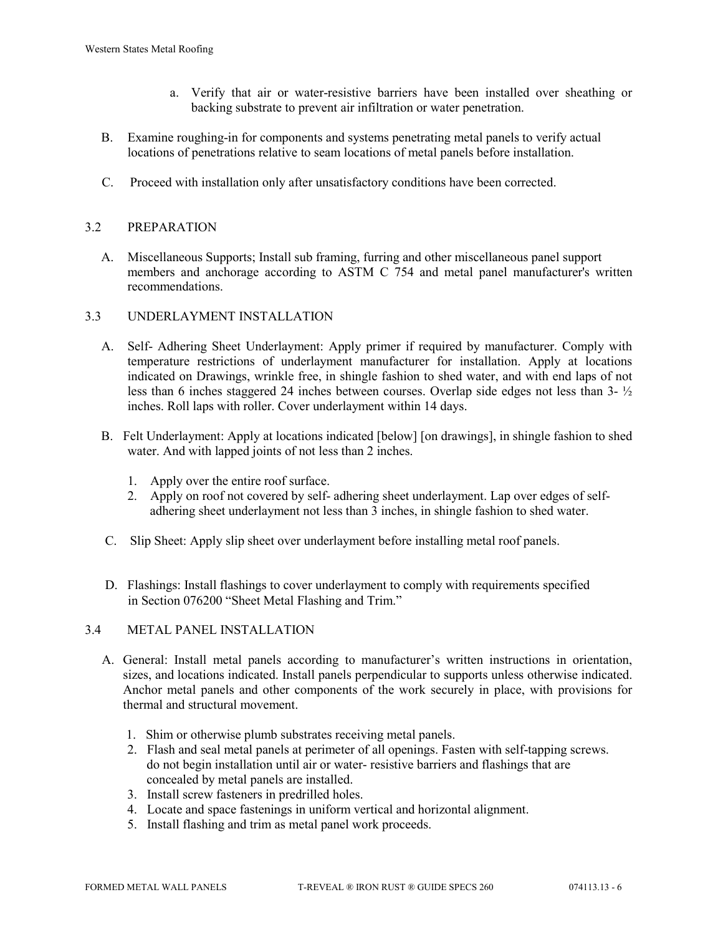- a. Verify that air or water-resistive barriers have been installed over sheathing or backing substrate to prevent air infiltration or water penetration.
- B. Examine roughing-in for components and systems penetrating metal panels to verify actual locations of penetrations relative to seam locations of metal panels before installation.
- C. Proceed with installation only after unsatisfactory conditions have been corrected.

# 3.2 PREPARATION

 A. Miscellaneous Supports; Install sub framing, furring and other miscellaneous panel support members and anchorage according to ASTM C 754 and metal panel manufacturer's written recommendations.

# 3.3 UNDERLAYMENT INSTALLATION

- A. Self- Adhering Sheet Underlayment: Apply primer if required by manufacturer. Comply with temperature restrictions of underlayment manufacturer for installation. Apply at locations indicated on Drawings, wrinkle free, in shingle fashion to shed water, and with end laps of not less than 6 inches staggered 24 inches between courses. Overlap side edges not less than 3- ½ inches. Roll laps with roller. Cover underlayment within 14 days.
- B. Felt Underlayment: Apply at locations indicated [below] [on drawings], in shingle fashion to shed water. And with lapped joints of not less than 2 inches.
	- 1. Apply over the entire roof surface.
	- 2. Apply on roof not covered by self- adhering sheet underlayment. Lap over edges of self adhering sheet underlayment not less than 3 inches, in shingle fashion to shed water.
- C. Slip Sheet: Apply slip sheet over underlayment before installing metal roof panels.
- D. Flashings: Install flashings to cover underlayment to comply with requirements specified in Section 076200 "Sheet Metal Flashing and Trim."

# 3.4 METAL PANEL INSTALLATION

- A. General: Install metal panels according to manufacturer's written instructions in orientation, sizes, and locations indicated. Install panels perpendicular to supports unless otherwise indicated. Anchor metal panels and other components of the work securely in place, with provisions for thermal and structural movement.
	- 1. Shim or otherwise plumb substrates receiving metal panels.
	- 2. Flash and seal metal panels at perimeter of all openings. Fasten with self-tapping screws. do not begin installation until air or water- resistive barriers and flashings that are concealed by metal panels are installed.
	- 3. Install screw fasteners in predrilled holes.
	- 4. Locate and space fastenings in uniform vertical and horizontal alignment.
	- 5. Install flashing and trim as metal panel work proceeds.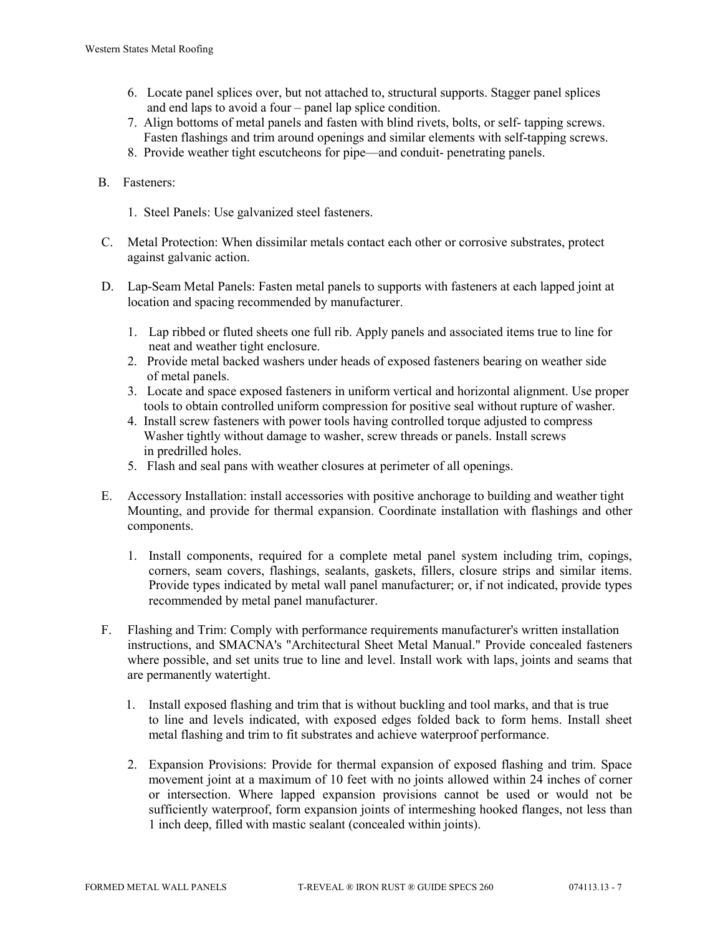- 6. Locate panel splices over, but not attached to, structural supports. Stagger panel splices and end laps to avoid a four – panel lap splice condition.
- 7. Align bottoms of metal panels and fasten with blind rivets, bolts, or self- tapping screws. Fasten flashings and trim around openings and similar elements with self-tapping screws.
- 8. Provide weather tight escutcheons for pipe—and conduit- penetrating panels.

# B. Fasteners:

- 1. Steel Panels: Use galvanized steel fasteners.
- C. Metal Protection: When dissimilar metals contact each other or corrosive substrates, protect against galvanic action.
- D. Lap-Seam Metal Panels: Fasten metal panels to supports with fasteners at each lapped joint at location and spacing recommended by manufacturer.
	- 1. Lap ribbed or fluted sheets one full rib. Apply panels and associated items true to line for neat and weather tight enclosure.
	- 2. Provide metal backed washers under heads of exposed fasteners bearing on weather side of metal panels.
	- 3. Locate and space exposed fasteners in uniform vertical and horizontal alignment. Use proper tools to obtain controlled uniform compression for positive seal without rupture of washer.
	- 4. Install screw fasteners with power tools having controlled torque adjusted to compress Washer tightly without damage to washer, screw threads or panels. Install screws in predrilled holes.
	- 5. Flash and seal pans with weather closures at perimeter of all openings.
- E. Accessory Installation: install accessories with positive anchorage to building and weather tight Mounting, and provide for thermal expansion. Coordinate installation with flashings and other components.
	- 1. Install components, required for a complete metal panel system including trim, copings, corners, seam covers, flashings, sealants, gaskets, fillers, closure strips and similar items. Provide types indicated by metal wall panel manufacturer; or, if not indicated, provide types recommended by metal panel manufacturer.
- F. Flashing and Trim: Comply with performance requirements manufacturer's written installation instructions, and SMACNA's "Architectural Sheet Metal Manual." Provide concealed fasteners where possible, and set units true to line and level. Install work with laps, joints and seams that are permanently watertight.
	- 1. Install exposed flashing and trim that is without buckling and tool marks, and that is true to line and levels indicated, with exposed edges folded back to form hems. Install sheet metal flashing and trim to fit substrates and achieve waterproof performance.
	- 2. Expansion Provisions: Provide for thermal expansion of exposed flashing and trim. Space movement joint at a maximum of 10 feet with no joints allowed within 24 inches of corner or intersection. Where lapped expansion provisions cannot be used or would not be sufficiently waterproof, form expansion joints of intermeshing hooked flanges, not less than 1 inch deep, filled with mastic sealant (concealed within joints).